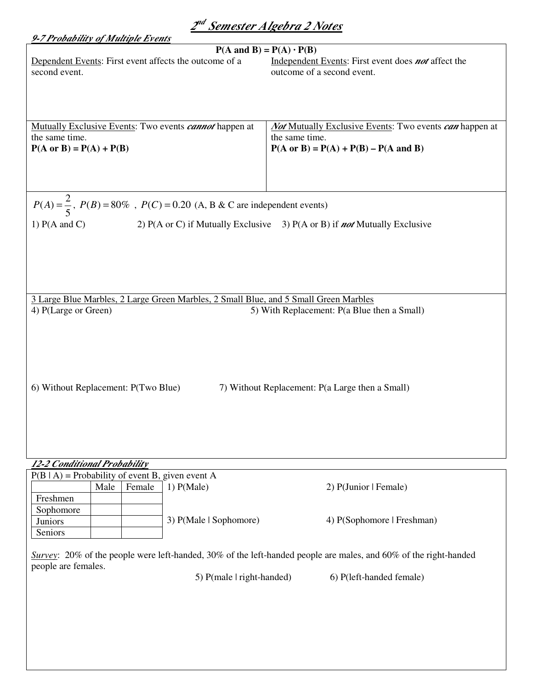| 2 <sup>nd</sup> Semester Algebra 2 Notes                                                                                 |                                                                                                        |  |
|--------------------------------------------------------------------------------------------------------------------------|--------------------------------------------------------------------------------------------------------|--|
| 9-7 Probability of Multiple Events                                                                                       |                                                                                                        |  |
| $P(A \text{ and } B) = P(A) \cdot P(B)$                                                                                  |                                                                                                        |  |
| Dependent Events: First event affects the outcome of a<br>second event.                                                  | Independent Events: First event does <b>not</b> affect the<br>outcome of a second event.               |  |
|                                                                                                                          |                                                                                                        |  |
|                                                                                                                          |                                                                                                        |  |
| Mutually Exclusive Events: Two events <i>cannot</i> happen at<br>the same time.                                          | <b><i>Not</i></b> Mutually Exclusive Events: Two events <i>can</i> happen at<br>the same time.         |  |
| $P(A \text{ or } B) = P(A) + P(B)$                                                                                       | $P(A \text{ or } B) = P(A) + P(B) - P(A \text{ and } B)$                                               |  |
|                                                                                                                          |                                                                                                        |  |
|                                                                                                                          |                                                                                                        |  |
|                                                                                                                          |                                                                                                        |  |
| $P(A) = \frac{2}{5}$ , $P(B) = 80\%$ , $P(C) = 0.20$ (A, B & C are independent events)                                   |                                                                                                        |  |
| 1) $P(A \text{ and } C)$                                                                                                 | 2) $P(A \text{ or } C)$ if Mutually Exclusive 3) $P(A \text{ or } B)$ if <b>not</b> Mutually Exclusive |  |
|                                                                                                                          |                                                                                                        |  |
|                                                                                                                          |                                                                                                        |  |
|                                                                                                                          |                                                                                                        |  |
|                                                                                                                          |                                                                                                        |  |
| 3 Large Blue Marbles, 2 Large Green Marbles, 2 Small Blue, and 5 Small Green Marbles                                     |                                                                                                        |  |
| 4) P(Large or Green)                                                                                                     | 5) With Replacement: P(a Blue then a Small)                                                            |  |
|                                                                                                                          |                                                                                                        |  |
|                                                                                                                          |                                                                                                        |  |
|                                                                                                                          |                                                                                                        |  |
|                                                                                                                          |                                                                                                        |  |
| 6) Without Replacement: P(Two Blue)                                                                                      | 7) Without Replacement: P(a Large then a Small)                                                        |  |
|                                                                                                                          |                                                                                                        |  |
|                                                                                                                          |                                                                                                        |  |
|                                                                                                                          |                                                                                                        |  |
|                                                                                                                          |                                                                                                        |  |
| 12-2 Conditional Probability                                                                                             |                                                                                                        |  |
| $P(B   A)$ = Probability of event B, given event A                                                                       |                                                                                                        |  |
| 1) P(Male)<br>Male<br>Female                                                                                             | 2) P(Junior   Female)                                                                                  |  |
| Freshmen                                                                                                                 |                                                                                                        |  |
| Sophomore<br>3) P(Male   Sophomore)<br>Juniors                                                                           | 4) P(Sophomore   Freshman)                                                                             |  |
| Seniors                                                                                                                  |                                                                                                        |  |
|                                                                                                                          |                                                                                                        |  |
| <i>Survey</i> : 20% of the people were left-handed, 30% of the left-handed people are males, and 60% of the right-handed |                                                                                                        |  |
| people are females.<br>5) $P(male   right-handed)$                                                                       | 6) P(left-handed female)                                                                               |  |
|                                                                                                                          |                                                                                                        |  |
|                                                                                                                          |                                                                                                        |  |
|                                                                                                                          |                                                                                                        |  |
|                                                                                                                          |                                                                                                        |  |
|                                                                                                                          |                                                                                                        |  |
|                                                                                                                          |                                                                                                        |  |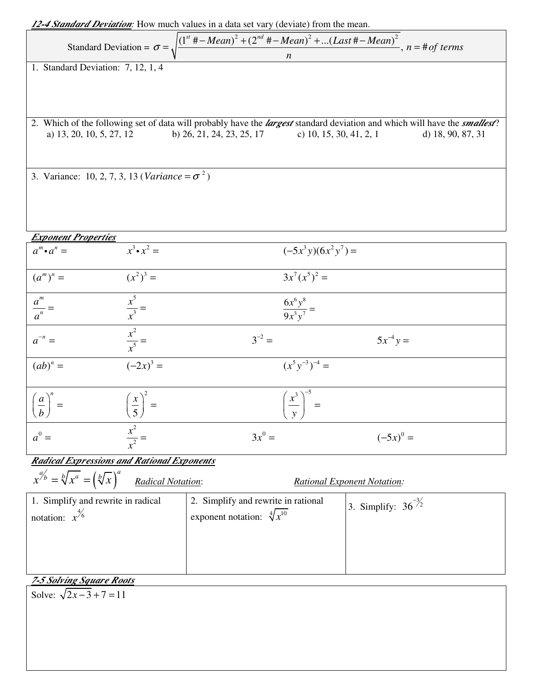| <b>12-4 Standard Deviation:</b> How much values in a data set vary (deviate) from the mean.                                           |                                |                                    |                                                                                                                                          |
|---------------------------------------------------------------------------------------------------------------------------------------|--------------------------------|------------------------------------|------------------------------------------------------------------------------------------------------------------------------------------|
| Standard Deviation = $\sigma = \sqrt{\frac{(1^{st} + -Mean)^2 + (2^{nd} + -Mean)^2 + (Last + -Mean)^2}{n}}$ , $n = \text{\#}of terms$ |                                |                                    |                                                                                                                                          |
| 1. Standard Deviation: 7, 12, 1, 4                                                                                                    |                                |                                    |                                                                                                                                          |
|                                                                                                                                       |                                |                                    |                                                                                                                                          |
|                                                                                                                                       |                                |                                    | 2. Which of the following set of data will probably have the <i>largest</i> standard deviation and which will have the <i>smallest</i> ? |
| a) 13, 20, 10, 5, 27, 12                                                                                                              | b) 26, 21, 24, 23, 25, 17      | c) 10, 15, 30, 41, 2, 1            | d) 18, 90, 87, 31                                                                                                                        |
| 3. Variance: 10, 2, 7, 3, 13 ( <i>Variance</i> = $\sigma^2$ )                                                                         |                                |                                    |                                                                                                                                          |
|                                                                                                                                       |                                |                                    |                                                                                                                                          |
| <b>Exponent Properties</b>                                                                                                            |                                |                                    |                                                                                                                                          |
| $a^m \cdot a^n =$                                                                                                                     | $x^3 \cdot x^2 =$              | $(-5x^3y)(6x^2y^7) =$              |                                                                                                                                          |
| $(a^m)^n =$                                                                                                                           | $(x^2)^3 =$                    | $3x^7(x^5)^2 =$                    |                                                                                                                                          |
| $\frac{a^m}{a^n} =$                                                                                                                   | $\frac{x^5}{x^3} =$            | $\frac{6x^6y^8}{9x^3y^7} =$        |                                                                                                                                          |
| $a^{-n} =$                                                                                                                            | $\frac{x^2}{x^5} =$            | $3^{-2} =$                         | $5x^{-4}y =$                                                                                                                             |
|                                                                                                                                       |                                |                                    |                                                                                                                                          |
| $(ab)^n =$                                                                                                                            | $(-2x)^3 =$                    | $(x^5y^{-3})^{-4} =$               |                                                                                                                                          |
| $\boldsymbol{a}$<br>$\setminus b$                                                                                                     | $\left(\frac{x}{5}\right)^2 =$ | $\frac{x^3}{x^3}$<br>$\mathbf{y}$  |                                                                                                                                          |
| $a^0 =$                                                                                                                               | $\frac{x^2}{x^2} =$            | $3x^0 =$                           | $(-5x)^0 =$                                                                                                                              |
|                                                                                                                                       |                                |                                    |                                                                                                                                          |
| <b>Radical Expressions and Rational Exponents</b>                                                                                     |                                |                                    |                                                                                                                                          |
| $x^{a'_b} = \sqrt[b]{x^a} = (\sqrt[b]{x})$                                                                                            | <b>Radical Notation:</b>       | <b>Rational Exponent Notation:</b> |                                                                                                                                          |

| 1. Simplify and rewrite in radical | 2. Simplify and rewrite in rational   |                         |
|------------------------------------|---------------------------------------|-------------------------|
| notation: $x^{6}$                  | exponent notation: $\sqrt[4]{x^{10}}$ | 3. Simplify: $36^{3/2}$ |
|                                    |                                       |                         |

# *7-5 Solving Square Roots*

Solve:  $\sqrt{2x-3} + 7 = 11$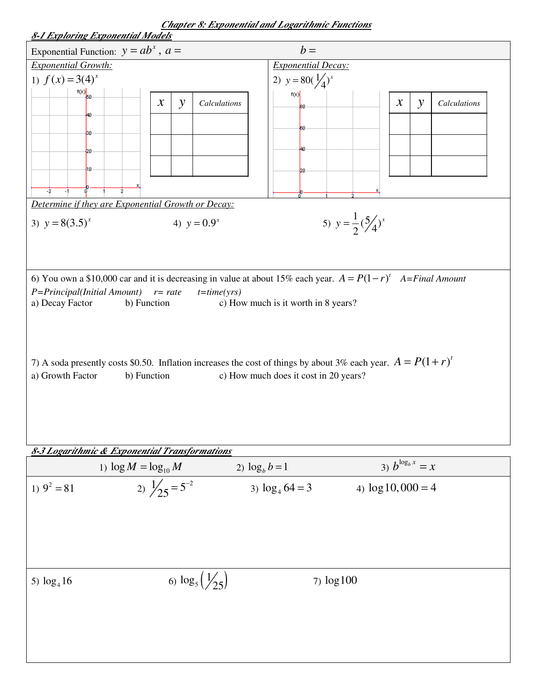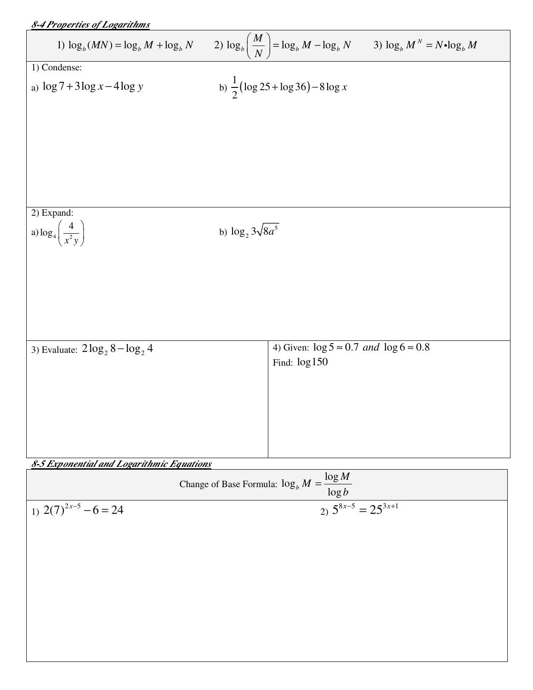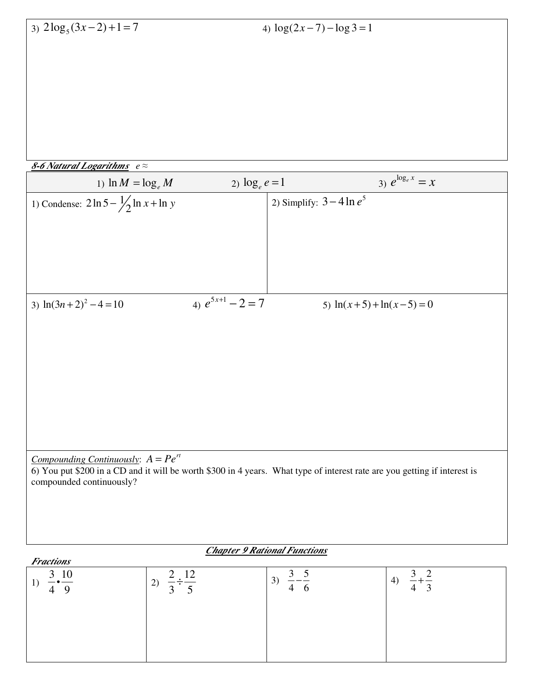| 8-6 Natural Logarithms $e \approx$ |
|------------------------------------|
|------------------------------------|

| 1) $\ln M = \log_e M$                              | 2) $\log_e e = 1$     | 3) $e^{\log_e x} = x$                                                                                                     |
|----------------------------------------------------|-----------------------|---------------------------------------------------------------------------------------------------------------------------|
| 1) Condense: $2 \ln 5 - \frac{1}{2} \ln x + \ln y$ |                       | 2) Simplify: $3-4\ln e^5$                                                                                                 |
|                                                    |                       |                                                                                                                           |
|                                                    |                       |                                                                                                                           |
|                                                    |                       |                                                                                                                           |
|                                                    |                       |                                                                                                                           |
| 3) $ln(3n+2)^2 - 4 = 10$                           | 4) $e^{5x+1} - 2 = 7$ | 5) $ln(x+5) + ln(x-5) = 0$                                                                                                |
|                                                    |                       |                                                                                                                           |
|                                                    |                       |                                                                                                                           |
|                                                    |                       |                                                                                                                           |
|                                                    |                       |                                                                                                                           |
|                                                    |                       |                                                                                                                           |
|                                                    |                       |                                                                                                                           |
|                                                    |                       |                                                                                                                           |
| <u>Compounding Continuously</u> : $A = Pe^{rt}$    |                       | 6) You put \$200 in a CD and it will be worth \$300 in 4 years. What type of interest rate are you getting if interest is |
| compounded continuously?                           |                       |                                                                                                                           |
|                                                    |                       |                                                                                                                           |
|                                                    |                       |                                                                                                                           |
|                                                    |                       |                                                                                                                           |

#### *Chapter 9 Rational Functions*

| <b>Fractions</b>                      |           |         |                 |
|---------------------------------------|-----------|---------|-----------------|
| 10<br>◠<br>$\mathfrak{I}$<br>1<br>— • | ר ו<br>2) | 3)<br>O | (4)<br>$\sim$ . |
|                                       |           |         |                 |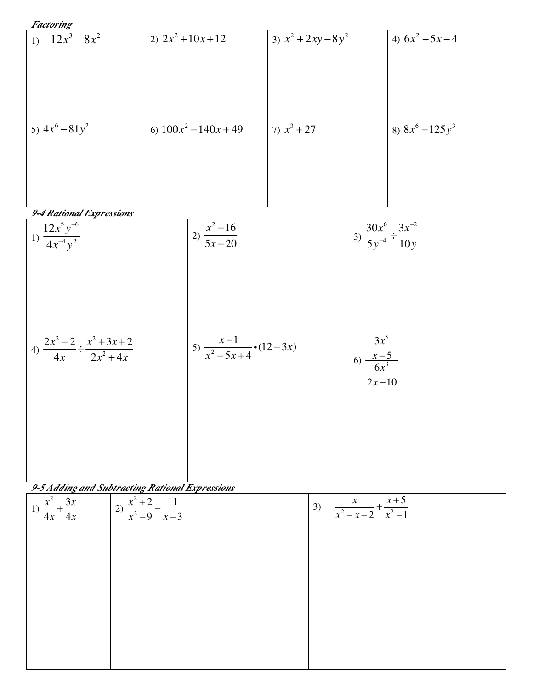| Factoring |  |
|-----------|--|
|           |  |

| $ 1\rangle -12x^3 + 8x^2$           | 2) $2x^2 + 10x + 12$      | 3) $x^2 + 2xy - 8y^2$ | 4) $6x^2 - 5x - 4$                                  |
|-------------------------------------|---------------------------|-----------------------|-----------------------------------------------------|
|                                     |                           |                       |                                                     |
|                                     |                           |                       |                                                     |
|                                     |                           |                       |                                                     |
|                                     |                           |                       |                                                     |
| 5) $4x^6 - 81y^2$                   | 6) $100x^2 - 140x + 49$   | 7) $x^3 + 27$         | 8) $8x^6 - 125y^3$                                  |
|                                     |                           |                       |                                                     |
|                                     |                           |                       |                                                     |
|                                     |                           |                       |                                                     |
|                                     |                           |                       |                                                     |
| 9-4 Rational Expressions            |                           |                       |                                                     |
| 1) $\frac{12x^5y^{-6}}{4x^{-4}y^2}$ | 2) $\frac{x^2-16}{5x-20}$ |                       | 3) $\frac{30x^6}{5y^{-4}} \div \frac{3x^{-2}}{10y}$ |
|                                     |                           |                       |                                                     |

| $4) \frac{2x^2 - 2}{4x} \div \frac{x^2 + 3x + 2}{2x^2 + 4x}$ | 5) $\frac{x-1}{x^2-5x+4}$ (12-3x) | $\frac{3x^5}{6}$<br>6) $\frac{x-5}{6x^3}$<br>$\frac{1}{2x-10}$ |
|--------------------------------------------------------------|-----------------------------------|----------------------------------------------------------------|
|                                                              |                                   |                                                                |

*9-5 Adding and Subtracting Rational Expressions* 

| $\boldsymbol{\omega}$<br>$\frac{x^2}{4x} + \frac{3x}{4x}$<br>1) | 2) $\frac{x^2+2}{x^2-9} - \frac{11}{x-3}$ | $\frac{x}{x^2-x-2} + \frac{x+5}{x^2-1}$<br>3) |
|-----------------------------------------------------------------|-------------------------------------------|-----------------------------------------------|
|                                                                 |                                           |                                               |
|                                                                 |                                           |                                               |
|                                                                 |                                           |                                               |
|                                                                 |                                           |                                               |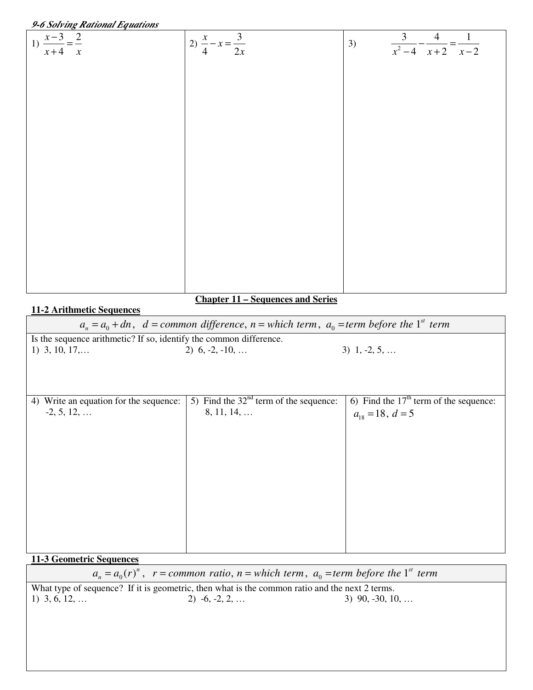| 9-6 Solving Rational Equations                                     |                                                                                                              |                                                       |
|--------------------------------------------------------------------|--------------------------------------------------------------------------------------------------------------|-------------------------------------------------------|
| 1) $\frac{x-3}{x+4} = \frac{2}{x}$                                 |                                                                                                              |                                                       |
|                                                                    | 2) $\frac{x}{4} - x = \frac{3}{2x}$                                                                          | $rac{3}{x^2-4} - \frac{4}{x+2} = \frac{1}{x-2}$<br>3) |
|                                                                    |                                                                                                              |                                                       |
|                                                                    |                                                                                                              |                                                       |
|                                                                    |                                                                                                              |                                                       |
|                                                                    |                                                                                                              |                                                       |
|                                                                    |                                                                                                              |                                                       |
|                                                                    |                                                                                                              |                                                       |
|                                                                    |                                                                                                              |                                                       |
|                                                                    |                                                                                                              |                                                       |
|                                                                    |                                                                                                              |                                                       |
|                                                                    |                                                                                                              |                                                       |
|                                                                    |                                                                                                              |                                                       |
|                                                                    |                                                                                                              |                                                       |
|                                                                    |                                                                                                              |                                                       |
|                                                                    |                                                                                                              |                                                       |
|                                                                    |                                                                                                              |                                                       |
|                                                                    |                                                                                                              |                                                       |
|                                                                    |                                                                                                              |                                                       |
|                                                                    |                                                                                                              |                                                       |
|                                                                    |                                                                                                              |                                                       |
|                                                                    | <b>Chapter 11 – Sequences and Series</b>                                                                     |                                                       |
| 11-2 Arithmetic Sequences                                          |                                                                                                              |                                                       |
|                                                                    | $a_n = a_0 + dn$ , $d = common difference$ , $n = which term$ , $a_0 = term$ before the 1 <sup>st</sup> term |                                                       |
| Is the sequence arithmetic? If so, identify the common difference. |                                                                                                              |                                                       |
| 1) $3, 10, 17, \ldots$                                             | 2) $6, -2, -10, \ldots$                                                                                      | $3)$ 1, -2, 5,                                        |
|                                                                    |                                                                                                              |                                                       |
|                                                                    |                                                                                                              |                                                       |
|                                                                    |                                                                                                              |                                                       |
| 4) Write an equation for the sequence:                             | 5) Find the $32nd$ term of the sequence:                                                                     | 6) Find the $17th$ term of the sequence:              |
| $-2, 5, 12, \ldots$                                                | $8, 11, 14, \ldots$                                                                                          | $a_{18} = 18, d = 5$                                  |
|                                                                    |                                                                                                              |                                                       |
|                                                                    |                                                                                                              |                                                       |
|                                                                    |                                                                                                              |                                                       |
|                                                                    |                                                                                                              |                                                       |
|                                                                    |                                                                                                              |                                                       |
|                                                                    |                                                                                                              |                                                       |
|                                                                    |                                                                                                              |                                                       |
|                                                                    |                                                                                                              |                                                       |
|                                                                    |                                                                                                              |                                                       |
|                                                                    |                                                                                                              |                                                       |

### **11-3 Geometric Sequences**

 $a_n = a_0(r)^n$ ,  $r = common ratio$ ,  $n = which term$ ,  $a_0 = term$  before the 1<sup>st</sup> term

What type of sequence? If it is geometric, then what is the common ratio and the next 2 terms.<br>
1) 3, 6, 12, ... 2) -6, -2, 2, ... 3) 90, -30, 1 3) 90,  $-30$ , 10, …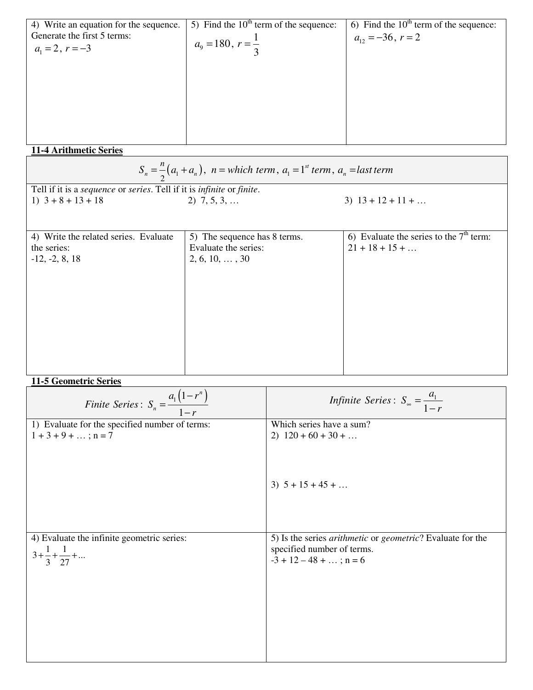| 4) Write an equation for the sequence. | 5) Find the $10th$ term of the sequence: | 6) Find the $10th$ term of the sequence: |
|----------------------------------------|------------------------------------------|------------------------------------------|
| Generate the first 5 terms:            |                                          | $a_{12} = -36, r = 2$                    |
| $a_1 = 2, r = -3$                      | $a_9 = 180, r = \frac{1}{2}$             |                                          |
|                                        |                                          |                                          |
|                                        |                                          |                                          |
|                                        |                                          |                                          |
|                                        |                                          |                                          |
|                                        |                                          |                                          |
|                                        |                                          |                                          |
|                                        |                                          |                                          |
|                                        |                                          |                                          |

## **11-4 Arithmetic Series**

| $S_n = \frac{n}{2}(a_1 + a_n)$ , $n = which term, a_1 = 1^{st} term, a_n = last term$ |                              |                                           |  |  |  |
|---------------------------------------------------------------------------------------|------------------------------|-------------------------------------------|--|--|--|
| Tell if it is a sequence or series. Tell if it is infinite or finite.                 |                              |                                           |  |  |  |
| 1) $3 + 8 + 13 + 18$                                                                  | $2)$ 7, 5, 3,                | $3)$ 13 + 12 + 11 +                       |  |  |  |
|                                                                                       |                              |                                           |  |  |  |
| 4) Write the related series. Evaluate                                                 | 5) The sequence has 8 terms. | 6) Evaluate the series to the $7th$ term: |  |  |  |
| the series:                                                                           | Evaluate the series:         | $21 + 18 + 15 + \ldots$                   |  |  |  |
| $-12, -2, 8, 18$                                                                      | $2, 6, 10, \ldots, 30$       |                                           |  |  |  |
|                                                                                       |                              |                                           |  |  |  |
|                                                                                       |                              |                                           |  |  |  |
|                                                                                       |                              |                                           |  |  |  |
|                                                                                       |                              |                                           |  |  |  |
|                                                                                       |                              |                                           |  |  |  |
|                                                                                       |                              |                                           |  |  |  |
|                                                                                       |                              |                                           |  |  |  |
|                                                                                       |                              |                                           |  |  |  |
|                                                                                       |                              |                                           |  |  |  |
|                                                                                       |                              |                                           |  |  |  |
| 11-5 Geometric Series                                                                 |                              |                                           |  |  |  |
|                                                                                       | $a_1(1-r^n)$                 | Infinite Series $S = \frac{a_1}{a_2}$     |  |  |  |

| Finite Series: $S_n = \frac{a_1(1-r^n)}{1-r}$  | <i>Infinite Series</i> : $S_{\infty} = \frac{a_1}{1-r}$                   |
|------------------------------------------------|---------------------------------------------------------------------------|
| 1) Evaluate for the specified number of terms: | Which series have a sum?                                                  |
| $1 + 3 + 9 + \dots$ ; n = 7                    | 2) $120 + 60 + 30 + $                                                     |
|                                                | 3) $5 + 15 + 45 + $                                                       |
|                                                |                                                                           |
| 4) Evaluate the infinite geometric series:     | 5) Is the series <i>arithmetic</i> or <i>geometric</i> ? Evaluate for the |
| $3 + \frac{1}{3} + \frac{1}{27} + \dots$       | specified number of terms.<br>$-3 + 12 - 48 + $ ; n = 6                   |
|                                                |                                                                           |
|                                                |                                                                           |
|                                                |                                                                           |
|                                                |                                                                           |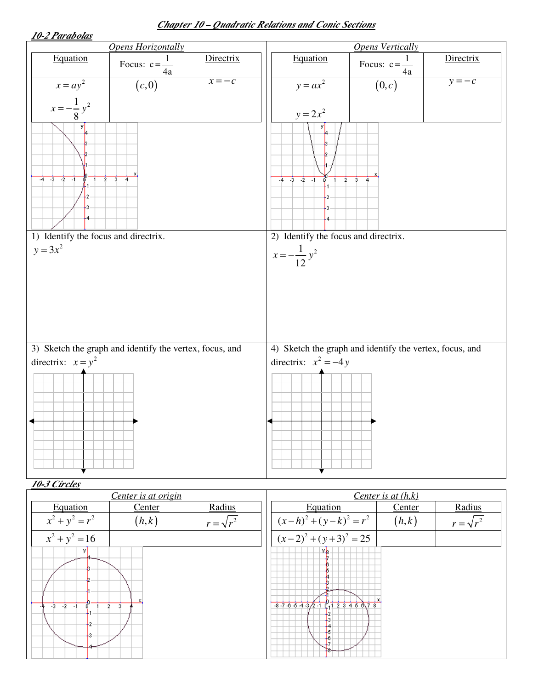### *Chapter 10 – Quadratic Relations and Conic Sections*

| 10-2 Parabolas                                                                  |           |                                                                                   |                           |           |
|---------------------------------------------------------------------------------|-----------|-----------------------------------------------------------------------------------|---------------------------|-----------|
| <b>Opens Horizontally</b>                                                       |           | <b>Opens Vertically</b>                                                           |                           |           |
| Equation<br>Focus: $c = \frac{1}{4a}$                                           | Directrix | Equation                                                                          | Focus: $c = \frac{1}{4a}$ | Directrix |
| $x = ay^2$<br>(c,0)                                                             | $x = -c$  | $y = ax^2$                                                                        | (0,c)                     | $y = -c$  |
| $x = -\frac{1}{8}y^2$<br>УI                                                     |           | $y = 2x^2$                                                                        |                           |           |
| $-4$ $-3$ $-2$ $-1$<br>$\overline{2}$<br>$\overline{\mathbf{3}}$                |           | $-4$ $-3$ $-2$ $-1$<br>$\overline{2}$<br>ű                                        | $3^{-}$                   |           |
| 1) Identify the focus and directrix.<br>$y = 3x^2$                              |           | 2) Identify the focus and directrix.<br>$x = -\frac{1}{12}y^2$                    |                           |           |
| 3) Sketch the graph and identify the vertex, focus, and<br>directrix: $x = y^2$ |           | 4) Sketch the graph and identify the vertex, focus, and<br>directrix: $x^2 = -4y$ |                           |           |

#### *10-3 Circles Center is at origin Center is at (h,k)* Equation Center Radius Equation | Center | Radius  $x^2 + y^2 = r^2$   $(h,k)$  $(x-h)^2 + (y-k)^2 = r^2$   $(h,k)$  $r = \sqrt{r^2}$ 2 2 ( 2) ( 3) 25 *x y* − + + =  $x^2 + y^2 = 16$  $-8.76543/2.1C_11234$ Ŧ  $-2 - 1$  $-3$  $\overline{2}$ 8  $\overline{1}$ ł2ŀз,

 $r = \sqrt{r^2}$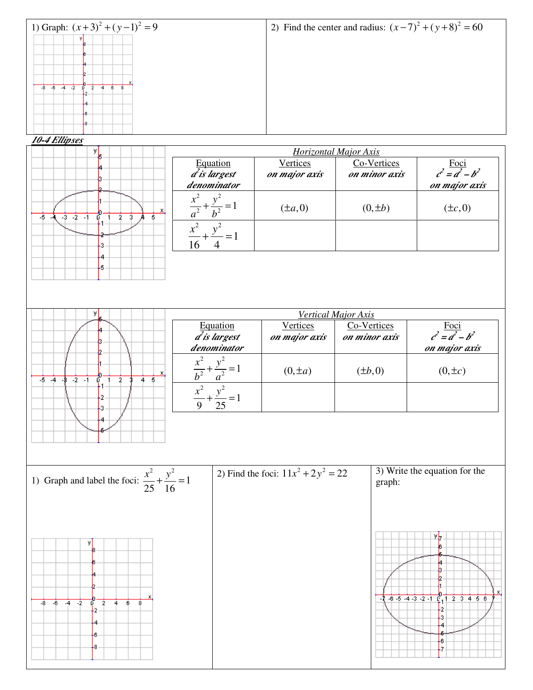

2 , 2

16 4  $\frac{x^2}{16} + \frac{y^2}{4} =$ 

1

 $\frac{x}{a^2} + \frac{y}{b^2} = 1$  (±*a*,0)  $(0, \pm b)$  (±*c*,0)



x

5

 $-5$  .

 $-3 - 2 - 1$ 

б

3 4 5 2

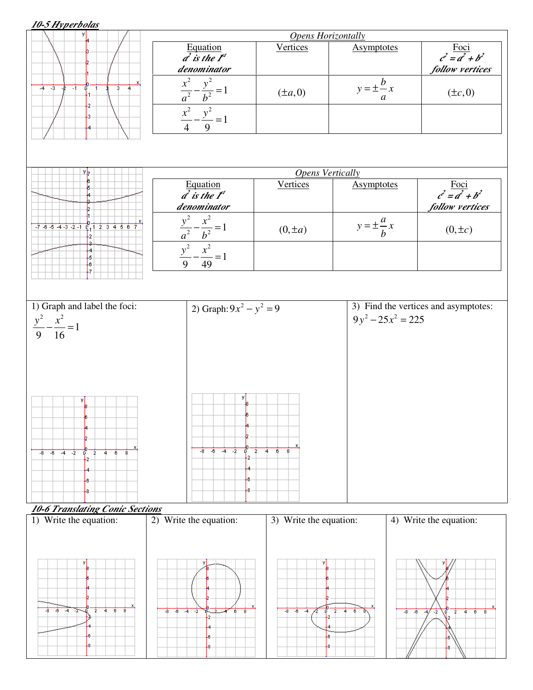